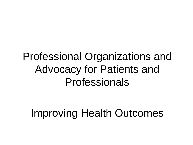## Professional Organizations and Advocacy for Patients and Professionals

## Improving Health Outcomes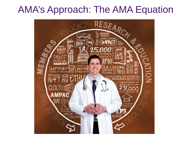#### AMA's Approach: The AMA Equation

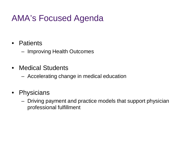#### AMA's Focused Agenda

#### • Patients

– Improving Health Outcomes

• Medical Students

– Accelerating change in medical education

- Physicians
	- Driving payment and practice models that support physician professional fulfillment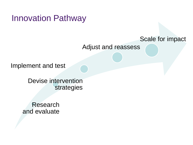Innovation Pathway

#### Scale for impact

Adjust and reassess

Implement and test

Devise intervention strategies

Research and evaluate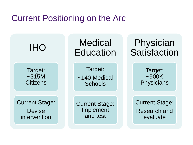#### Current Positioning on the Arc

IHO

Target: ~315M **Citizens** 

Current Stage: **Devise** intervention

**Medical Education** 

Target: ~140 Medical **Schools** 

Current Stage: Implement and test

Physician **Satisfaction** 

> Target: ~900K **Physicians**

Current Stage: Research and evaluate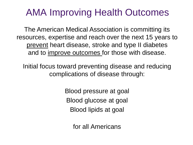### AMA Improving Health Outcomes

The American Medical Association is committing its resources, expertise and reach over the next 15 years to prevent heart disease, stroke and type II diabetes and to improve outcomes for those with disease.

Initial focus toward preventing disease and reducing complications of disease through:

> Blood pressure at goal Blood glucose at goal Blood lipids at goal

> > for all Americans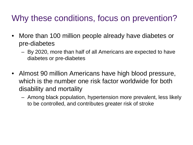#### Why these conditions, focus on prevention?

- More than 100 million people already have diabetes or pre-diabetes
	- By 2020, more than half of all Americans are expected to have diabetes or pre-diabetes
- Almost 90 million Americans have high blood pressure, which is the number one risk factor worldwide for both disability and mortality
	- Among black population, hypertension more prevalent, less likely to be controlled, and contributes greater risk of stroke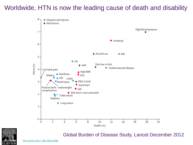#### **Figure 2** Worldwide, HTN is now the leading cause of death and disability





#### Global Burden of Disease Study, Lancet December 2012

[The Lancet 2012; 380:2063-2066](http://www.thelancet.com/journals/lancet/article/S0140-6736(12)61899-6/abstract)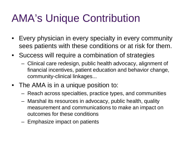# AMA's Unique Contribution

- Every physician in every specialty in every community sees patients with these conditions or at risk for them.
- Success will require a combination of strategies
	- Clinical care redesign, public health advocacy, alignment of financial incentives, patient education and behavior change, community-clinical linkages...
- The AMA is in a unique position to:
	- Reach across specialties, practice types, and communities
	- Marshal its resources in advocacy, public health, quality measurement and communications to make an impact on outcomes for these conditions
	- Emphasize impact on patients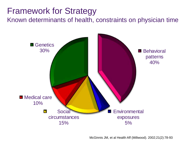#### Framework for Strategy

Known determinants of health, constraints on physician time



McGinnis JM, et al Health Aff (Millwood). 2002;21(2):78-93